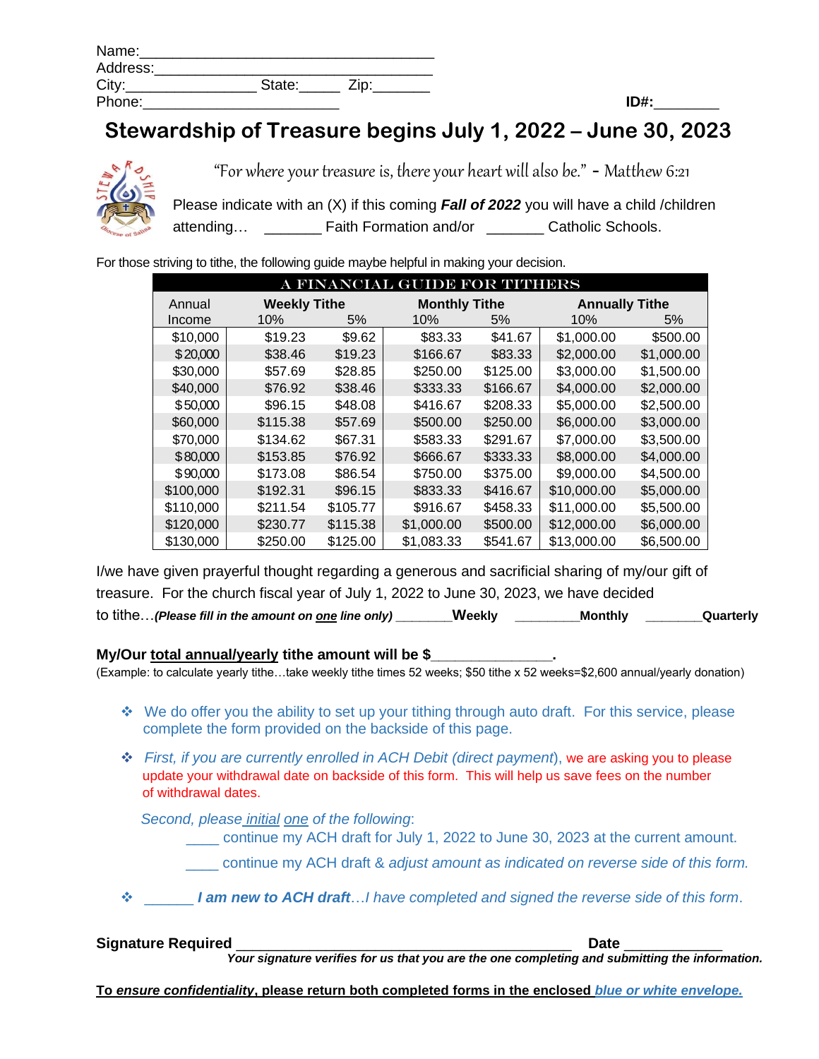| Name:    |        |      |
|----------|--------|------|
| Address: |        |      |
| City:    | State: | Zip: |
| Phone:   |        |      |

## **Stewardship of Treasure begins July 1, 2022 – June 30, 2023**



"For where your treasure is, there your heart will also be." - Matthew 6:21

Please indicate with an (X) if this coming *Fall of 2022* you will have a child /children attending... \_\_\_\_\_\_\_\_ Faith Formation and/or \_\_\_\_\_\_\_\_ Catholic Schools.

For those striving to tithe, the following guide maybe helpful in making your decision.

| A FINANCIAL GUIDE FOR TITHERS |          |                     |            |                      |             |                       |  |
|-------------------------------|----------|---------------------|------------|----------------------|-------------|-----------------------|--|
| Annual                        |          | <b>Weekly Tithe</b> |            | <b>Monthly Tithe</b> |             | <b>Annually Tithe</b> |  |
| Income                        | 10%      | 5%                  | 10%        | 5%                   | 10%         | 5%                    |  |
| \$10,000                      | \$19.23  | \$9.62              | \$83.33    | \$41.67              | \$1,000.00  | \$500.00              |  |
| \$20,000                      | \$38.46  | \$19.23             | \$166.67   | \$83.33              | \$2,000.00  | \$1,000.00            |  |
| \$30,000                      | \$57.69  | \$28.85             | \$250.00   | \$125.00             | \$3,000.00  | \$1,500.00            |  |
| \$40,000                      | \$76.92  | \$38.46             | \$333.33   | \$166.67             | \$4,000.00  | \$2,000.00            |  |
| \$50,000                      | \$96.15  | \$48.08             | \$416.67   | \$208.33             | \$5,000.00  | \$2,500.00            |  |
| \$60,000                      | \$115.38 | \$57.69             | \$500.00   | \$250.00             | \$6,000.00  | \$3,000.00            |  |
| \$70,000                      | \$134.62 | \$67.31             | \$583.33   | \$291.67             | \$7,000.00  | \$3,500.00            |  |
| \$80,000                      | \$153.85 | \$76.92             | \$666.67   | \$333.33             | \$8,000.00  | \$4,000.00            |  |
| \$90,000                      | \$173.08 | \$86.54             | \$750.00   | \$375.00             | \$9,000.00  | \$4,500.00            |  |
| \$100,000                     | \$192.31 | \$96.15             | \$833.33   | \$416.67             | \$10,000.00 | \$5,000.00            |  |
| \$110,000                     | \$211.54 | \$105.77            | \$916.67   | \$458.33             | \$11,000.00 | \$5,500.00            |  |
| \$120,000                     | \$230.77 | \$115.38            | \$1,000.00 | \$500.00             | \$12,000.00 | \$6,000.00            |  |
| \$130,000                     | \$250.00 | \$125.00            | \$1,083.33 | \$541.67             | \$13,000.00 | \$6,500.00            |  |

I/we have given prayerful thought regarding a generous and sacrificial sharing of my/our gift of treasure. For the church fiscal year of July 1, 2022 to June 30, 2023, we have decided to tithe…*(Please fill in the amount on one line only)* **\_\_\_\_\_\_\_Weekly \_\_\_\_\_\_\_\_Monthly \_\_\_\_\_\_\_Quarterly**

## **My/Our total annual/yearly tithe amount will be \$\_\_\_\_\_\_\_\_\_\_\_\_\_\_\_.**

(Example: to calculate yearly tithe…take weekly tithe times 52 weeks; \$50 tithe x 52 weeks=\$2,600 annual/yearly donation)

- ❖ We do offer you the ability to set up your tithing through auto draft. For this service, please complete the form provided on the backside of this page.
- ❖ *First, if you are currently enrolled in ACH Debit (direct payment*), we are asking you to please update your withdrawal date on backside of this form. This will help us save fees on the number of withdrawal dates.

 *Second, please initial one of the following*:

\_\_\_\_ continue my ACH draft for July 1, 2022 to June 30, 2023 at the current amount.

\_\_\_\_ continue my ACH draft & *adjust amount as indicated on reverse side of this form.*

❖ \_\_\_\_\_\_ *I am new to ACH draft*…*I have completed and signed the reverse side of this form*.

| <b>Signature Required</b> | Date                                                                                           |
|---------------------------|------------------------------------------------------------------------------------------------|
|                           | Your signature verifies for us that you are the one completing and submitting the information. |
|                           |                                                                                                |

**To** *ensure confidentiality***, please return both completed forms in the enclosed** *blue or white envelope.*